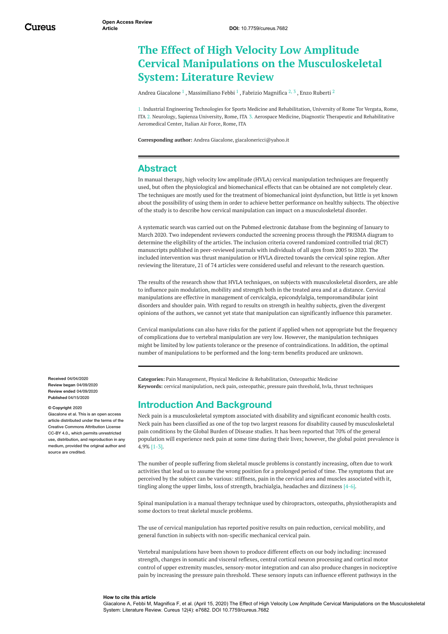# **The Effect of High Velocity Low Amplitude Cervical Manipulations on the Musculoskeletal System: Literature Review**

Andrea [Giacalone](https://www.cureus.com/users/136183-andrea-giacalone)  $^1$  , [Massimiliano](https://www.cureus.com/users/155158-massimiliano-febbi) Febbi  $^1$  , Fabrizio [Magnifica](https://www.cureus.com/users/137108-fabrizio-magnifica)  $^2$   $^3$  , Enzo [Ruberti](https://www.cureus.com/users/130462-enzo-ruberti)  $^2$ 

1. Industrial Engineering Technologies for Sports Medicine and Rehabilitation, University of Rome Tor Vergata, Rome, ITA 2. Neurology, Sapienza University, Rome, ITA 3. Aerospace Medicine, Diagnostic Therapeutic and Rehabilitative Aeromedical Center, Italian Air Force, Rome, ITA

**Corresponding author:** Andrea Giacalone, giacalonericci@yahoo.it

### **Abstract**

In manual therapy, high velocity low amplitude (HVLA) cervical manipulation techniques are frequently used, but often the physiological and biomechanical effects that can be obtained are not completely clear. The techniques are mostly used for the treatment of biomechanical joint dysfunction, but little is yet known about the possibility of using them in order to achieve better performance on healthy subjects. The objective of the study is to describe how cervical manipulation can impact on a musculoskeletal disorder.

A systematic search was carried out on the Pubmed electronic database from the beginning of January to March 2020. Two independent reviewers conducted the screening process through the PRISMA diagram to determine the eligibility of the articles. The inclusion criteria covered randomized controlled trial (RCT) manuscripts published in peer-reviewed journals with individuals of all ages from 2005 to 2020. The included intervention was thrust manipulation or HVLA directed towards the cervical spine region. After reviewing the literature, 21 of 74 articles were considered useful and relevant to the research question.

The results of the research show that HVLA techniques, on subjects with musculoskeletal disorders, are able to influence pain modulation, mobility and strength both in the treated area and at a distance. Cervical manipulations are effective in management of cervicalgia, epicondylalgia, temporomandibular joint disorders and shoulder pain. With regard to results on strength in healthy subjects, given the divergent opinions of the authors, we cannot yet state that manipulation can significantly influence this parameter.

Cervical manipulations can also have risks for the patient if applied when not appropriate but the frequency of complications due to vertebral manipulation are very low. However, the manipulation techniques might be limited by low patients tolerance or the presence of contraindications. In addition, the optimal number of manipulations to be performed and the long-term benefits produced are unknown.

**Received** 04/04/2020 **Review began** 04/09/2020 **Review ended** 04/09/2020 **Published** 04/15/2020

**© Copyright** 2020

one et al. This is an open access article distributed under the terms of the Creative Commons Attribution License CC-BY 4.0., which permits unrestricted use, distribution, and reproduction in any medium, provided the original author and source are credited

**Categories:** Pain Management, Physical Medicine & Rehabilitation, Osteopathic Medicine **Keywords:** cervical manipulation, neck pain, osteopathic, pressure pain threshold, hvla, thrust techniques

# **Introduction And Background**

Neck pain is a musculoskeletal symptom associated with disability and significant economic health costs. Neck pain has been classified as one of the top two largest reasons for disability caused by musculoskeletal pain conditions by the Global Burden of Disease studies. It has been reported that 70% of the general population will experience neck pain at some time during their lives; however, the global point prevalence is 4.9% [1-3].

The number of people suffering from skeletal muscle problems is constantly increasing, often due to work activities that lead us to assume the wrong position for a prolonged period of time. The symptoms that are perceived by the subject can be various: stiffness, pain in the cervical area and muscles associated with it, tingling along the upper limbs, loss of strength, brachialgia, headaches and dizziness [4-6].

Spinal manipulation is a manual therapy technique used by chiropractors, osteopaths, physiotherapists and some doctors to treat skeletal muscle problems.

The use of cervical manipulation has reported positive results on pain reduction, cervical mobility, and general function in subjects with non-specific mechanical cervical pain.

Vertebral manipulations have been shown to produce different effects on our body including: increased strength, changes in somatic and visceral reflexes, central cortical neuron processing and cortical motor control of upper extremity muscles, sensory-motor integration and can also produce changes in nociceptive pain by increasing the pressure pain threshold. These sensory inputs can influence efferent pathways in the

#### **How to cite this article**

Giacalone A, Febbi M, Magnifica F, et al. (April 15, 2020) The Effect of High Velocity Low Amplitude Cervical Manipulations on the Musculoskeletal System: Literature Review. Cureus 12(4): e7682. DOI 10.7759/cureus.7682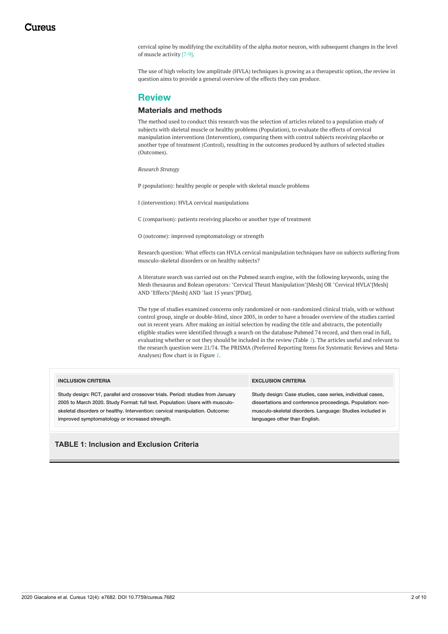cervical spine by modifying the excitability of the alpha motor neuron, with subsequent changes in the level of muscle activity [7-9].

The use of high velocity low amplitude (HVLA) techniques is growing as a therapeutic option, the review in question aims to provide a general overview of the effects they can produce.

## **Review**

### **Materials and methods**

The method used to conduct this research was the selection of articles related to a population study of subjects with skeletal muscle or healthy problems (Population), to evaluate the effects of cervical manipulation interventions (Intervention), comparing them with control subjects receiving placebo or another type of treatment (Control), resulting in the outcomes produced by authors of selected studies (Outcomes).

*Research Strategy*

P (population): healthy people or people with skeletal muscle problems

I (intervention): HVLA cervical manipulations

C (comparison): patients receiving placebo or another type of treatment

O (outcome): improved symptomatology or strength

Research question: What effects can HVLA cervical manipulation techniques have on subjects suffering from musculo-skeletal disorders or on healthy subjects?

A literature search was carried out on the Pubmed search engine, with the following keywords, using the Mesh thesaurus and Bolean operators: "Cervical Thrust Manipulation"[Mesh] OR "Cervical HVLA"[Mesh] AND "Effects"[Mesh] AND "last 15 years"[PDat].

The type of studies examined concerns only randomized or non-randomized clinical trials, with or without control group, single or double-blind, since 2005, in order to have a broader overview of the studies carried out in recent years. After making an initial selection by reading the title and abstracts, the potentially eligible studies were identified through a search on the database Pubmed 74 record, and then read in full, evaluating whether or not they should be included in the review (Table *[1](#page-1-0)*). The articles useful and relevant to the research question were 21/74. The PRISMA (Preferred Reporting Items for Systematic Reviews and Meta-Analyses) flow chart is in Figure *[1](#page-2-0)*.

<span id="page-1-0"></span>

| <b>INCLUSION CRITERIA</b>                                                      | <b>EXCLUSION CRITERIA</b>                                  |
|--------------------------------------------------------------------------------|------------------------------------------------------------|
| Study design: RCT, parallel and crossover trials. Period: studies from January | Study design: Case studies, case series, individual cases, |
| 2005 to March 2020. Study Format: full text. Population: Users with musculo-   | dissertations and conference proceedings. Population: non- |
| skeletal disorders or healthy. Intervention: cervical manipulation. Outcome:   | musculo-skeletal disorders. Language: Studies included in  |
| improved symptomatology or increased strength.                                 | languages other than English.                              |

**TABLE 1: Inclusion and Exclusion Criteria**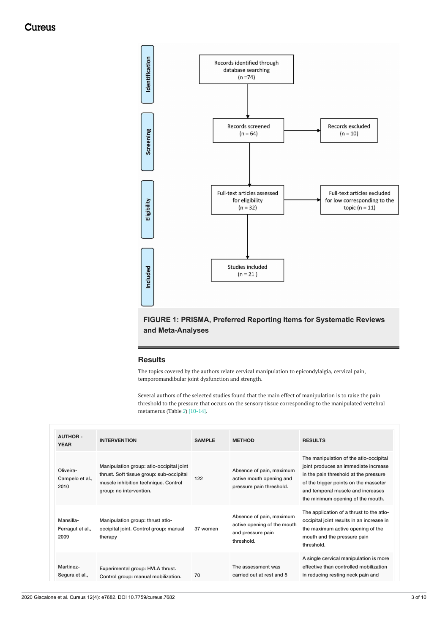## Cureus

<span id="page-2-0"></span>

# **FIGURE 1: PRISMA, Preferred Reporting Items for Systematic Reviews and Meta-Analyses**

### **Results**

The topics covered by the authors relate cervical manipulation to epicondylalgia, cervical pain, temporomandibular joint dysfunction and strength.

Several authors of the selected studies found that the main effect of manipulation is to raise the pain threshold to the pressure that occurs on the sensory tissue corresponding to the manipulated vertebral metamerus (Table *[2](#page-4-0)*) [10-14].

| <b>AUTHOR -</b><br><b>YEAR</b>        | <b>INTERVENTION</b>                                                                                                                                     | <b>SAMPLE</b> | <b>METHOD</b>                                                                              | <b>RESULTS</b>                                                                                                                                                                                                                             |
|---------------------------------------|---------------------------------------------------------------------------------------------------------------------------------------------------------|---------------|--------------------------------------------------------------------------------------------|--------------------------------------------------------------------------------------------------------------------------------------------------------------------------------------------------------------------------------------------|
| Oliveira-<br>Campelo et al.,<br>2010  | Manipulation group: atlo-occipital joint<br>thrust. Soft tissue group: sub-occipital<br>muscle inhibition technique. Control<br>group: no intervention. | 122           | Absence of pain, maximum<br>active mouth opening and<br>pressure pain threshold.           | The manipulation of the atlo-occipital<br>joint produces an immediate increase<br>in the pain threshold at the pressure<br>of the trigger points on the masseter<br>and temporal muscle and increases<br>the minimum opening of the mouth. |
| Mansilla-<br>Ferragut et al.,<br>2009 | Manipulation group: thrust atlo-<br>occipital joint. Control group: manual<br>therapy                                                                   | 37 women      | Absence of pain, maximum<br>active opening of the mouth<br>and pressure pain<br>threshold. | The application of a thrust to the atlo-<br>occipital joint results in an increase in<br>the maximum active opening of the<br>mouth and the pressure pain<br>threshold.                                                                    |
| Martinez-<br>Segura et al.,           | Experimental group: HVLA thrust.<br>Control group: manual mobilization.                                                                                 | 70            | The assessment was<br>carried out at rest and 5                                            | A single cervical manipulation is more<br>effective than controlled mobilization<br>in reducing resting neck pain and                                                                                                                      |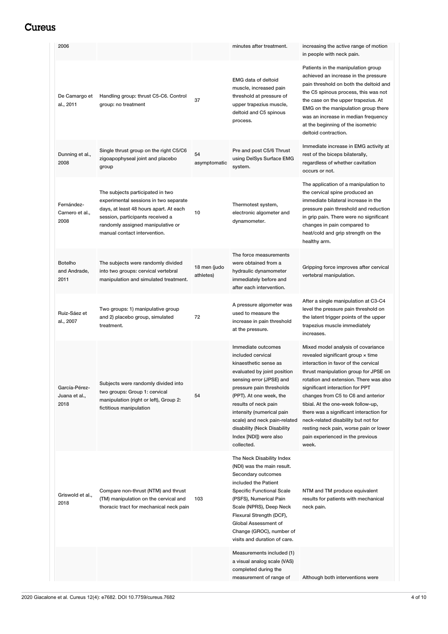| 2006                                   |                                                                                                                                                                                                                              |                           | minutes after treatment.                                                                                                                                                                                                                                                                                                                       | increasing the active range of motion<br>in people with neck pain.                                                                                                                                                                                                                                                                                                                                                                                                                         |
|----------------------------------------|------------------------------------------------------------------------------------------------------------------------------------------------------------------------------------------------------------------------------|---------------------------|------------------------------------------------------------------------------------------------------------------------------------------------------------------------------------------------------------------------------------------------------------------------------------------------------------------------------------------------|--------------------------------------------------------------------------------------------------------------------------------------------------------------------------------------------------------------------------------------------------------------------------------------------------------------------------------------------------------------------------------------------------------------------------------------------------------------------------------------------|
| De Camargo et<br>al., 2011             | Handling group: thrust C5-C6. Control<br>group: no treatment                                                                                                                                                                 | 37                        | <b>EMG data of deltoid</b><br>muscle, increased pain<br>threshold at pressure of<br>upper trapezius muscle,<br>deltoid and C5 spinous<br>process.                                                                                                                                                                                              | Patients in the manipulation group<br>achieved an increase in the pressure<br>pain threshold on both the deltoid and<br>the C5 spinous process, this was not<br>the case on the upper trapezius. At<br>EMG on the manipulation group there<br>was an increase in median frequency<br>at the beginning of the isometric<br>deltoid contraction.                                                                                                                                             |
| Dunning et al.,<br>2008                | Single thrust group on the right C5/C6<br>zigoapophyseal joint and placebo<br>group                                                                                                                                          | 54<br>asymptomatic        | Pre and post C5/6 Thrust<br>using DelSys Surface EMG<br>system.                                                                                                                                                                                                                                                                                | Immediate increase in EMG activity at<br>rest of the biceps bilaterally,<br>regardless of whether cavitation<br>occurs or not.                                                                                                                                                                                                                                                                                                                                                             |
| Fernández-<br>Carnero et al.,<br>2008  | The subjects participated in two<br>experimental sessions in two separate<br>days, at least 48 hours apart. At each<br>session, participants received a<br>randomly assigned manipulative or<br>manual contact intervention. | 10                        | Thermotest system,<br>electronic algometer and<br>dynamometer.                                                                                                                                                                                                                                                                                 | The application of a manipulation to<br>the cervical spine produced an<br>immediate bilateral increase in the<br>pressure pain threshold and reduction<br>in grip pain. There were no significant<br>changes in pain compared to<br>heat/cold and grip strength on the<br>healthy arm.                                                                                                                                                                                                     |
| <b>Botelho</b><br>and Andrade,<br>2011 | The subjects were randomly divided<br>into two groups: cervical vertebral<br>manipulation and simulated treatment.                                                                                                           | 18 men (judo<br>athletes) | The force measurements<br>were obtained from a<br>hydraulic dynamometer<br>immediately before and<br>after each intervention.                                                                                                                                                                                                                  | Gripping force improves after cervical<br>vertebral manipulation.                                                                                                                                                                                                                                                                                                                                                                                                                          |
| Ruiz-Sáez et<br>al., 2007              | Two groups: 1) manipulative group<br>and 2) placebo group, simulated<br>treatment.                                                                                                                                           | 72                        | A pressure algometer was<br>used to measure the<br>increase in pain threshold<br>at the pressure.                                                                                                                                                                                                                                              | After a single manipulation at C3-C4<br>level the pressure pain threshold on<br>the latent trigger points of the upper<br>trapezius muscle immediately<br>increases.                                                                                                                                                                                                                                                                                                                       |
| García-Pérez-<br>Juana et al.,<br>2018 | Subjects were randomly divided into<br>two groups: Group 1: cervical<br>manipulation (right or left), Group 2:<br>fictitious manipulation                                                                                    | 54                        | Immediate outcomes<br>included cervical<br>kinaesthetic sense as<br>evaluated by joint position<br>sensing error (JPSE) and<br>pressure pain thresholds<br>(PPT). At one week, the<br>results of neck pain<br>intensity (numerical pain<br>scale) and neck pain-related<br>disability (Neck Disability<br>Index [NDI]) were also<br>collected. | Mixed model analysis of covariance<br>revealed significant group x time<br>interaction in favor of the cervical<br>thrust manipulation group for JPSE on<br>rotation and extension. There was also<br>significant interaction for PPT<br>changes from C5 to C6 and anterior<br>tibial. At the one-week follow-up,<br>there was a significant interaction for<br>neck-related disability but not for<br>resting neck pain, worse pain or lower<br>pain experienced in the previous<br>week. |
| Griswold et al.,<br>2018               | Compare non-thrust (NTM) and thrust<br>(TM) manipulation on the cervical and<br>thoracic tract for mechanical neck pain                                                                                                      | 103                       | The Neck Disability Index<br>(NDI) was the main result.<br>Secondary outcomes<br>included the Patient<br><b>Specific Functional Scale</b><br>(PSFS), Numerical Pain<br>Scale (NPRS), Deep Neck<br>Flexural Strength (DCF),<br>Global Assessment of<br>Change (GROC), number of<br>visits and duration of care.                                 | NTM and TM produce equivalent<br>results for patients with mechanical<br>neck pain.                                                                                                                                                                                                                                                                                                                                                                                                        |
|                                        |                                                                                                                                                                                                                              |                           | Measurements included (1)<br>a visual analog scale (VAS)<br>completed during the<br>measurement of range of                                                                                                                                                                                                                                    | Although both interventions were                                                                                                                                                                                                                                                                                                                                                                                                                                                           |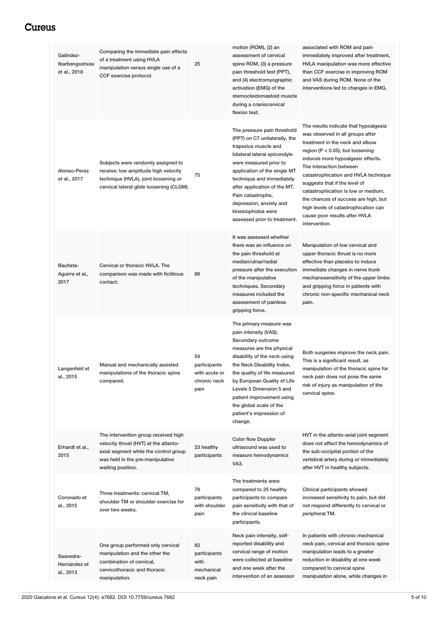# <span id="page-4-0"></span>Cureus

| Galindez-<br>Ibarbengoetxea<br>et al., 2018 | Comparing the immediate pain effects<br>of a treatment using HVLA<br>manipulation versus single use of a<br>CCF exercise protocol.                                              | 25                                                          | motion (ROM), (2) an<br>assessment of cervical<br>spine ROM, (3) a pressure<br>pain threshold test (PPT),<br>and (4) electromyographic<br>activation (EMG) of the<br>sternocleidomastoid muscle<br>during a craniocervical<br>flexion test.                                                                                                               | associated with ROM and pain<br>immediately improved after treatment,<br>HVLA manipulation was more effective<br>than CCF exercise in improving ROM<br>and VAS during ROM. None of the<br>interventions led to changes in EMG.                                                                                                                                                                                                                                         |
|---------------------------------------------|---------------------------------------------------------------------------------------------------------------------------------------------------------------------------------|-------------------------------------------------------------|-----------------------------------------------------------------------------------------------------------------------------------------------------------------------------------------------------------------------------------------------------------------------------------------------------------------------------------------------------------|------------------------------------------------------------------------------------------------------------------------------------------------------------------------------------------------------------------------------------------------------------------------------------------------------------------------------------------------------------------------------------------------------------------------------------------------------------------------|
| Alonso-Perez<br>et al., 2017                | Subjects were randomly assigned to<br>receive: low amplitude high velocity<br>technique (HVLA), joint loosening or<br>cervical lateral glide loosening (CLGM).                  | 75                                                          | The pressure pain threshold<br>(PPT) on C7 unilaterally, the<br>trapezius muscle and<br>bilateral lateral epicondyle<br>were measured prior to<br>application of the single MT<br>technique and immediately<br>after application of the MT.<br>Pain catastrophe,<br>depression, anxiety and<br>kinesiophobia were<br>assessed prior to treatment.         | The results indicate that hypoalgesia<br>was observed in all groups after<br>treatment in the neck and elbow<br>region ( $P < 0.05$ ), but loosening<br>induces more hypoalgesic effects.<br>The interaction between<br>catastrophication and HVLA technique<br>suggests that if the level of<br>catastrophication is low or medium,<br>the chances of success are high, but<br>high levels of catastrophication can<br>cause poor results after HVLA<br>intervention. |
| Bautista-<br>Aguirre et al.,<br>2017        | Cervical or thoracic HVLA. The<br>comparison was made with fictitious<br>contact.                                                                                               | 88                                                          | It was assessed whether<br>there was an influence on<br>the pain threshold at<br>median/ulnar/radial<br>pressure after the execution<br>of the manipulative<br>techniques. Secondary<br>measures included the<br>assessment of painless<br>gripping force.                                                                                                | Manipulation of low cervical and<br>upper thoracic thrust is no more<br>effective than placebo to induce<br>immediate changes in nerve trunk<br>mechanosensitivity of the upper limbs<br>and gripping force in patients with<br>chronic non-specific mechanical neck<br>pain.                                                                                                                                                                                          |
| Langenfeld et<br>al., 2015                  | Manual and mechanically assisted<br>manipulations of the thoracic spine<br>compared.                                                                                            | 54<br>participants<br>with acute or<br>chronic neck<br>pain | The primary measure was<br>pain intensity (VAS).<br>Secondary outcome<br>measures are the physical<br>disability of the neck using<br>the Neck Disability Index,<br>the quality of life measured<br>by European Quality of Life<br>Levels 5 Dimension 5 and<br>patient improvement using<br>the global scale of the<br>patient's impression of<br>change. | Both surgeries improve the neck pain.<br>This is a significant result, as<br>manipulation of the thoracic spine for<br>neck pain does not pose the same<br>risk of injury as manipulation of the<br>cervical spine.                                                                                                                                                                                                                                                    |
| Erhardt et al.,<br>2015                     | The intervention group received high<br>velocity thrust (HVT) at the atlanto-<br>axial segment while the control group<br>was held in the pre-manipulative<br>waiting position. | 23 healthy<br>participants                                  | <b>Color flow Doppler</b><br>ultrasound was used to<br>measure hemodynamics<br>VA3.                                                                                                                                                                                                                                                                       | HVT in the atlanto-axial joint segment<br>does not affect the hemodynamics of<br>the sub-occipital portion of the<br>vertebral artery during or immediately<br>after HVT in healthy subjects.                                                                                                                                                                                                                                                                          |
| Coronado et<br>al., 2015                    | Three treatments: cervical TM,<br>shoulder TM or shoulder exercise for<br>over two weeks.                                                                                       | 78<br>participants<br>with shoulder<br>pain                 | The treatments were<br>compared to 25 healthy<br>participants to compare<br>pain sensitivity with that of<br>the clinical baseline<br>participants.                                                                                                                                                                                                       | Clinical participants showed<br>increased sensitivity to pain, but did<br>not respond differently to cervical or<br>peripheral TM.                                                                                                                                                                                                                                                                                                                                     |
| Saavedra-<br>Hernández et<br>al., 2013      | One group performed only cervical<br>manipulation and the other the<br>combination of cervical,<br>cervicothoracic and thoracic<br>manipulation.                                | 82<br>participants<br>with<br>mechanical<br>neck pain       | Neck pain intensity, self-<br>reported disability and<br>cervical range of motion<br>were collected at baseline<br>and one week after the<br>intervention of an assessor                                                                                                                                                                                  | In patients with chronic mechanical<br>neck pain, cervical and thoracic spine<br>manipulation leads to a greater<br>reduction in disability at one week<br>compared to cervical spine<br>manipulation alone, while changes in                                                                                                                                                                                                                                          |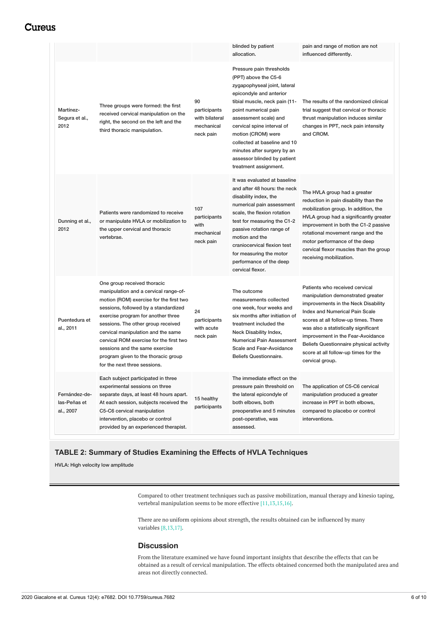# **Cureus**

|                                            |                                                                                                                                                                                                                                                                                                                                                                                                                               |                                                                 | blinded by patient<br>allocation.                                                                                                                                                                                                                                                                                                                                        | pain and range of motion are not<br>influenced differently.                                                                                                                                                                                                                                                                                                             |
|--------------------------------------------|-------------------------------------------------------------------------------------------------------------------------------------------------------------------------------------------------------------------------------------------------------------------------------------------------------------------------------------------------------------------------------------------------------------------------------|-----------------------------------------------------------------|--------------------------------------------------------------------------------------------------------------------------------------------------------------------------------------------------------------------------------------------------------------------------------------------------------------------------------------------------------------------------|-------------------------------------------------------------------------------------------------------------------------------------------------------------------------------------------------------------------------------------------------------------------------------------------------------------------------------------------------------------------------|
| Martínez-<br>Segura et al.,<br>2012        | Three groups were formed: the first<br>received cervical manipulation on the<br>right, the second on the left and the<br>third thoracic manipulation.                                                                                                                                                                                                                                                                         | 90<br>participants<br>with bilateral<br>mechanical<br>neck pain | Pressure pain thresholds<br>(PPT) above the C5-6<br>zygapophyseal joint, lateral<br>epicondyle and anterior<br>tibial muscle, neck pain (11-<br>point numerical pain<br>assessment scale) and<br>cervical spine interval of<br>motion (CROM) were<br>collected at baseline and 10<br>minutes after surgery by an<br>assessor blinded by patient<br>treatment assignment. | The results of the randomized clinical<br>trial suggest that cervical or thoracic<br>thrust manipulation induces similar<br>changes in PPT, neck pain intensity<br>and CROM.                                                                                                                                                                                            |
| Dunning et al.,<br>2012                    | Patients were randomized to receive<br>or manipulate HVLA or mobilization to<br>the upper cervical and thoracic<br>vertebrae.                                                                                                                                                                                                                                                                                                 | 107<br>participants<br>with<br>mechanical<br>neck pain          | It was evaluated at baseline<br>and after 48 hours: the neck<br>disability index, the<br>numerical pain assessment<br>scale, the flexion rotation<br>test for measuring the C1-2<br>passive rotation range of<br>motion and the<br>craniocervical flexion test<br>for measuring the motor<br>performance of the deep<br>cervical flexor.                                 | The HVLA group had a greater<br>reduction in pain disability than the<br>mobilization group. In addition, the<br>HVLA group had a significantly greater<br>improvement in both the C1-2 passive<br>rotational movement range and the<br>motor performance of the deep<br>cervical flexor muscles than the group<br>receiving mobilization.                              |
| Puentedura et<br>al., 2011                 | One group received thoracic<br>manipulation and a cervical range-of-<br>motion (ROM) exercise for the first two<br>sessions, followed by a standardized<br>exercise program for another three<br>sessions. The other group received<br>cervical manipulation and the same<br>cervical ROM exercise for the first two<br>sessions and the same exercise<br>program given to the thoracic group<br>for the next three sessions. | 24<br>participants<br>with acute<br>neck pain                   | The outcome<br>measurements collected<br>one week, four weeks and<br>six months after initiation of<br>treatment included the<br>Neck Disability Index,<br><b>Numerical Pain Assessment</b><br>Scale and Fear-Avoidance<br>Beliefs Questionnaire.                                                                                                                        | Patients who received cervical<br>manipulation demonstrated greater<br>improvements in the Neck Disability<br>Index and Numerical Pain Scale<br>scores at all follow-up times. There<br>was also a statistically significant<br>improvement in the Fear-Avoidance<br>Beliefs Questionnaire physical activity<br>score at all follow-up times for the<br>cervical group. |
| Fernández-de-<br>las-Peñas et<br>al., 2007 | Each subject participated in three<br>experimental sessions on three<br>separate days, at least 48 hours apart.<br>At each session, subjects received the<br>C5-C6 cervical manipulation<br>intervention, placebo or control<br>provided by an experienced therapist.                                                                                                                                                         | 15 healthy<br>participants                                      | The immediate effect on the<br>pressure pain threshold on<br>the lateral epicondyle of<br>both elbows, both<br>preoperative and 5 minutes<br>post-operative, was<br>assessed.                                                                                                                                                                                            | The application of C5-C6 cervical<br>manipulation produced a greater<br>increase in PPT in both elbows,<br>compared to placebo or control<br>interventions.                                                                                                                                                                                                             |

### **TABLE 2: Summary of Studies Examining the Effects of HVLA Techniques**

HVLA: High velocity low amplitude

Compared to other treatment techniques such as passive mobilization, manual therapy and kinesio taping, vertebral manipulation seems to be more effective [11,13,15,16].

There are no uniform opinions about strength, the results obtained can be influenced by many variables [8,13,17].

### **Discussion**

From the literature examined we have found important insights that describe the effects that can be obtained as a result of cervical manipulation. The effects obtained concerned both the manipulated area and areas not directly connected.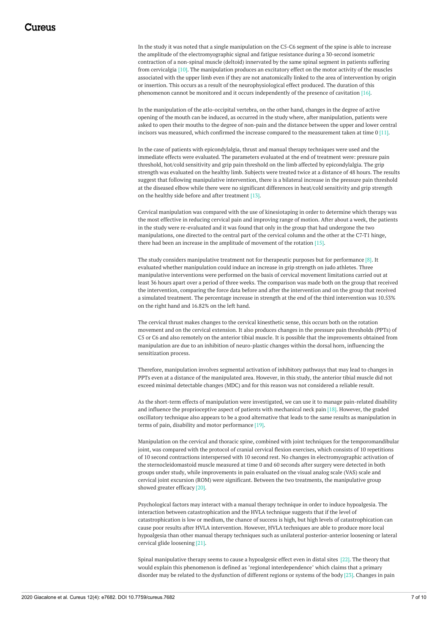In the study it was noted that a single manipulation on the C5-C6 segment of the spine is able to increase the amplitude of the electromyographic signal and fatigue resistance during a 30-second isometric contraction of a non-spinal muscle (deltoid) innervated by the same spinal segment in patients suffering from cervicalgia [10]. The manipulation produces an excitatory effect on the motor activity of the muscles associated with the upper limb even if they are not anatomically linked to the area of intervention by origin or insertion. This occurs as a result of the neurophysiological effect produced. The duration of this phenomenon cannot be monitored and it occurs independently of the presence of cavitation [16].

In the manipulation of the atlo-occipital vertebra, on the other hand, changes in the degree of active opening of the mouth can be induced, as occurred in the study where, after manipulation, patients were asked to open their mouths to the degree of non-pain and the distance between the upper and lower central incisors was measured, which confirmed the increase compared to the measurement taken at time 0 [11].

In the case of patients with epicondylalgia, thrust and manual therapy techniques were used and the immediate effects were evaluated. The parameters evaluated at the end of treatment were: pressure pain threshold, hot/cold sensitivity and grip pain threshold on the limb affected by epicondylalgia. The grip strength was evaluated on the healthy limb. Subjects were treated twice at a distance of 48 hours. The results suggest that following manipulative intervention, there is a bilateral increase in the pressure pain threshold at the diseased elbow while there were no significant differences in heat/cold sensitivity and grip strength on the healthy side before and after treatment [13].

Cervical manipulation was compared with the use of kinesiotaping in order to determine which therapy was the most effective in reducing cervical pain and improving range of motion. After about a week, the patients in the study were re-evaluated and it was found that only in the group that had undergone the two manipulations, one directed to the central part of the cervical column and the other at the C7-T1 hinge, there had been an increase in the amplitude of movement of the rotation [15].

The study considers manipulative treatment not for therapeutic purposes but for performance [8]. It evaluated whether manipulation could induce an increase in grip strength on judo athletes. Three manipulative interventions were performed on the basis of cervical movement limitations carried out at least 36 hours apart over a period of three weeks. The comparison was made both on the group that received the intervention, comparing the force data before and after the intervention and on the group that received a simulated treatment. The percentage increase in strength at the end of the third intervention was 10.53% on the right hand and 16.82% on the left hand.

The cervical thrust makes changes to the cervical kinesthetic sense, this occurs both on the rotation movement and on the cervical extension. It also produces changes in the pressure pain thresholds (PPTs) of C5 or C6 and also remotely on the anterior tibial muscle. It is possible that the improvements obtained from manipulation are due to an inhibition of neuro-plastic changes within the dorsal horn, influencing the sensitization process.

Therefore, manipulation involves segmental activation of inhibitory pathways that may lead to changes in PPTs even at a distance of the manipulated area. However, in this study, the anterior tibial muscle did not exceed minimal detectable changes (MDC) and for this reason was not considered a reliable result.

As the short-term effects of manipulation were investigated, we can use it to manage pain-related disability and influence the proprioceptive aspect of patients with mechanical neck pain [18]. However, the graded oscillatory technique also appears to be a good alternative that leads to the same results as manipulation in terms of pain, disability and motor performance [19].

Manipulation on the cervical and thoracic spine, combined with joint techniques for the temporomandibular joint, was compared with the protocol of cranial cervical flexion exercises, which consists of 10 repetitions of 10 second contractions interspersed with 10 second rest. No changes in electromyographic activation of the sternocleidomastoid muscle measured at time 0 and 60 seconds after surgery were detected in both groups under study, while improvements in pain evaluated on the visual analog scale (VAS) scale and cervical joint excursion (ROM) were significant. Between the two treatments, the manipulative group showed greater efficacy [20].

Psychological factors may interact with a manual therapy technique in order to induce hypoalgesia. The interaction between catastrophication and the HVLA technique suggests that if the level of catastrophication is low or medium, the chance of success is high, but high levels of catastrophication can cause poor results after HVLA intervention. However, HVLA techniques are able to produce more local hypoalgesia than other manual therapy techniques such as unilateral posterior-anterior loosening or lateral cervical glide loosening [21].

Spinal manipulative therapy seems to cause a hypoalgesic effect even in distal sites [22]. The theory that would explain this phenomenon is defined as "regional interdependence" which claims that a primary disorder may be related to the dysfunction of different regions or systems of the body [23]. Changes in pain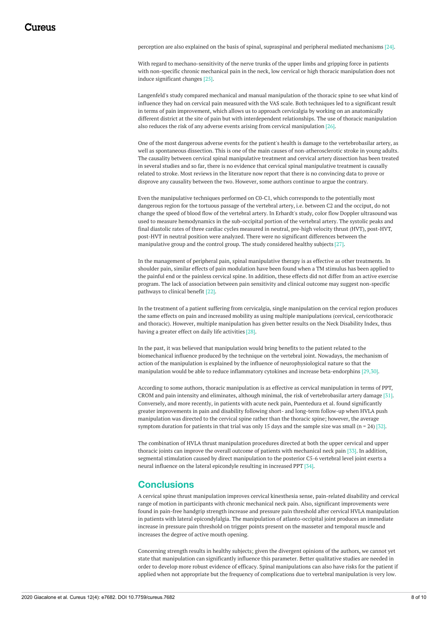perception are also explained on the basis of spinal, supraspinal and peripheral mediated mechanisms [24].

With regard to mechano-sensitivity of the nerve trunks of the upper limbs and gripping force in patients with non-specific chronic mechanical pain in the neck, low cervical or high thoracic manipulation does not induce significant changes [25].

Langenfeld's study compared mechanical and manual manipulation of the thoracic spine to see what kind of influence they had on cervical pain measured with the VAS scale. Both techniques led to a significant result in terms of pain improvement, which allows us to approach cervicalgia by working on an anatomically different district at the site of pain but with interdependent relationships. The use of thoracic manipulation also reduces the risk of any adverse events arising from cervical manipulation [26].

One of the most dangerous adverse events for the patient's health is damage to the vertebrobasilar artery, as well as spontaneous dissection. This is one of the main causes of non-atherosclerotic stroke in young adults. The causality between cervical spinal manipulative treatment and cervical artery dissection has been treated in several studies and so far, there is no evidence that cervical spinal manipulative treatment is causally related to stroke. Most reviews in the literature now report that there is no convincing data to prove or disprove any causality between the two. However, some authors continue to argue the contrary.

Even the manipulative techniques performed on C0-C1, which corresponds to the potentially most dangerous region for the tortuous passage of the vertebral artery, i.e. between C2 and the occiput, do not change the speed of blood flow of the vertebral artery. In Erhardt's study, color flow Doppler ultrasound was used to measure hemodynamics in the sub-occipital portion of the vertebral artery. The systolic peaks and final diastolic rates of three cardiac cycles measured in neutral, pre-high velocity thrust (HVT), post-HVT, post-HVT in neutral position were analyzed. There were no significant differences between the manipulative group and the control group. The study considered healthy subjects [27].

In the management of peripheral pain, spinal manipulative therapy is as effective as other treatments. In shoulder pain, similar effects of pain modulation have been found when a TM stimulus has been applied to the painful end or the painless cervical spine. In addition, these effects did not differ from an active exercise program. The lack of association between pain sensitivity and clinical outcome may suggest non-specific pathways to clinical benefit [22].

In the treatment of a patient suffering from cervicalgia, single manipulation on the cervical region produces the same effects on pain and increased mobility as using multiple manipulations (cervical, cervicothoracic and thoracic). However, multiple manipulation has given better results on the Neck Disability Index, thus having a greater effect on daily life activities [28].

In the past, it was believed that manipulation would bring benefits to the patient related to the biomechanical influence produced by the technique on the vertebral joint. Nowadays, the mechanism of action of the manipulation is explained by the influence of neurophysiological nature so that the manipulation would be able to reduce inflammatory cytokines and increase beta-endorphins [29,30].

According to some authors, thoracic manipulation is as effective as cervical manipulation in terms of PPT, CROM and pain intensity and eliminates, although minimal, the risk of vertebrobasilar artery damage [31]. Conversely, and more recently, in patients with acute neck pain, Puentedura et al. found significantly greater improvements in pain and disability following short- and long-term follow-up when HVLA push manipulation was directed to the cervical spine rather than the thoracic spine; however, the average symptom duration for patients in that trial was only 15 days and the sample size was small ( $n = 24$ ) [32].

The combination of HVLA thrust manipulation procedures directed at both the upper cervical and upper thoracic joints can improve the overall outcome of patients with mechanical neck pain [33]. In addition, segmental stimulation caused by direct manipulation to the posterior C5-6 vertebral level joint exerts a neural influence on the lateral epicondyle resulting in increased PPT [34].

### **Conclusions**

A cervical spine thrust manipulation improves cervical kinesthesia sense, pain-related disability and cervical range of motion in participants with chronic mechanical neck pain. Also, significant improvements were found in pain-free handgrip strength increase and pressure pain threshold after cervical HVLA manipulation in patients with lateral epicondylalgia. The manipulation of atlanto-occipital joint produces an immediate increase in pressure pain threshold on trigger points present on the masseter and temporal muscle and increases the degree of active mouth opening.

Concerning strength results in healthy subjects; given the divergent opinions of the authors, we cannot yet state that manipulation can significantly influence this parameter. Better qualitative studies are needed in order to develop more robust evidence of efficacy. Spinal manipulations can also have risks for the patient if applied when not appropriate but the frequency of complications due to vertebral manipulation is very low.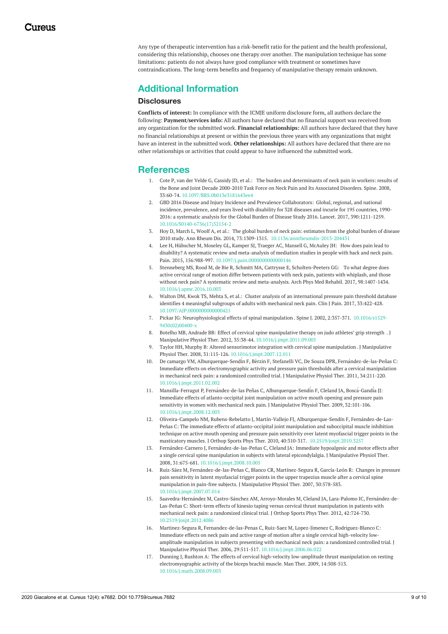Any type of therapeutic intervention has a risk-benefit ratio for the patient and the health professional, considering this relationship, chooses one therapy over another. The manipulation technique has some limitations: patients do not always have good compliance with treatment or sometimes have contraindications. The long-term benefits and frequency of manipulative therapy remain unknown.

# **Additional Information**

#### **Disclosures**

**Conflicts of interest:** In compliance with the ICMJE uniform disclosure form, all authors declare the following: **Payment/services info:** All authors have declared that no financial support was received from any organization for the submitted work. **Financial relationships:** All authors have declared that they have no financial relationships at present or within the previous three years with any organizations that might have an interest in the submitted work. **Other relationships:** All authors have declared that there are no other relationships or activities that could appear to have influenced the submitted work.

### **References**

- 1. Cote P, van der Velde G, Cassidy JD, et al.: The burden and [determinants](https://dx.doi.org/10.1097/BRS.0b013e3181643ee4) of neck pain in workers: results of the Bone and Joint Decade 2000-2010 Task Force on Neck Pain and Its Associated Disorders. Spine. 2008, 33:60-74. [10.1097/BRS.0b013e3181643ee4](https://dx.doi.org/10.1097/BRS.0b013e3181643ee4)
- 2. GBD 2016 Disease and Injury Incidence and Prevalence Collaborators: Global, regional, and national incidence, prevalence, and years lived with disability for 328 diseases and incurie for 195 countries, 1990- 2016: a systematic analysis for the Global Burden of Disease Study 2016. Lancet. 2017, [390:1211-1259.](https://dx.doi.org/10.1016/S0140-6736(17)32154-2) [10.1016/S0140-6736\(17\)32154-2](https://dx.doi.org/10.1016/S0140-6736(17)32154-2)
- 3. Hoy D, March L, Woolf A, et al.: The global burden of neck pain: estimates from the global burden of disease 2010 study. Ann Rheum Dis. 2014, 73:1309-1315. [10.1136/annrheumdis-2013-204431](https://dx.doi.org/10.1136/annrheumdis-2013-204431)
- 4. Lee H, Hübscher M, Moseley GL, Kamper SJ, Traeger AC, Mansell G, McAuley JH: How does pain lead to disability? A systematic review and [meta-analysis](https://dx.doi.org/10.1097/j.pain.0000000000000146) of mediation studies in people with back and neck pain. Pain. 2015, 156:988-997. [10.1097/j.pain.0000000000000146](https://dx.doi.org/10.1097/j.pain.0000000000000146)
- 5. Stenneberg MS, Rood M, de Bie R, Schmitt MA, Cattrysse E, [Scholten-Peeters](https://dx.doi.org/10.1016/j.apmr.2016.10.003) GG: To what degree does active cervical range of motion differ between patients with neck pain, patients with whiplash, and those without neck pain? A systematic review and meta-analysis. Arch Phys Med Rehabil. 2017, 98:1407-1434. [10.1016/j.apmr.2016.10.003](https://dx.doi.org/10.1016/j.apmr.2016.10.003)
- 6. Walton DM, Kwok TS, Mehta S, et al.: Cluster analysis of an [international](https://dx.doi.org/10.1097/AJP.0000000000000421) pressure pain threshold database identifies 4 meaningful subgroups of adults with mechanical neck pain. Clin J Pain. 2017, 33:422-428. [10.1097/AJP.0000000000000421](https://dx.doi.org/10.1097/AJP.0000000000000421)
- 7. Pickar JG: [Neurophysiological](https://dx.doi.org/10.1016/s1529-9430(02)00400-x) effects of spinal manipulation . Spine J. 2002, 2:357-371. 10.1016/s1529- 9430(02)00400-x
- 8. Botelho MB, Andrade BB: Effect of cervical spine [manipulative](https://dx.doi.org/10.1016/j.jmpt.2011.09.005) therapy on judo athletes' grip strength . J Manipulative Physiol Ther. 2012, 35:38-44. [10.1016/j.jmpt.2011.09.005](https://dx.doi.org/10.1016/j.jmpt.2011.09.005)
- 9. Taylor HH, Murphy B: Altered [sensorimotor](https://dx.doi.org/10.1016/j.jmpt.2007.12.011) integration with cervical spine manipulation . J Manipulative Physiol Ther. 2008, 31:115-126. [10.1016/j.jmpt.2007.12.011](https://dx.doi.org/10.1016/j.jmpt.2007.12.011)
- 10. De camargo VM, Alburquerque-Sendi ́n F, Bérzin F, Stefanelli VC, De Souza DPR, Fernández-de-las-Peñas C: Immediate effects on [electromyographic](https://dx.doi.org/10.1016/j.jmpt.2011.02.002) activity and pressure pain thresholds after a cervical manipulation in mechanical neck pain: a randomized controlled trial. J Manipulative Physiol Ther. 2011, 34:211-220. [10.1016/j.jmpt.2011.02.002](https://dx.doi.org/10.1016/j.jmpt.2011.02.002)
- 11. Mansilla-Ferragut P, Fernández-de-las Peñas C, Alburquerque-Sendin F, Cleland JA, Boscá-Gandia JJ: Immediate effects of [atlanto-occipital](https://dx.doi.org/10.1016/j.jmpt.2008.12.003) joint manipulation on active mouth opening and pressure pain sensitivity in women with mechanical neck pain. J Manipulative Physiol Ther. 2009, 32:101-106. [10.1016/j.jmpt.2008.12.003](https://dx.doi.org/10.1016/j.jmpt.2008.12.003)
- 12. Oliveira-Campelo NM, Rubens-Rebelatto J, Martín-Vallejo FJ, Alburquerque-Sendín F, Fernández-de-Las-Peñas C: The immediate effects of atlanto-occipital joint manipulation and suboccipital muscle inhibition technique on active mouth opening and pressure pain sensitivity over latent myofascial trigger points in the masticatory muscles. J Orthop Sports Phys Ther. 2010, 40:310-317. [10.2519/jospt.2010.3257](https://dx.doi.org/10.2519/jospt.2010.3257)
- 13. Fernández-Carnero J, [Fernández-de-las-Peñas](https://dx.doi.org/10.1016/j.jmpt.2008.10.005) C, Cleland JA: Immediate hypoalgesic and motor effects after a single cervical spine manipulation in subjects with lateral epicondylalgia. J Manipulative Physiol Ther. 2008, 31:675-681. [10.1016/j.jmpt.2008.10.005](https://dx.doi.org/10.1016/j.jmpt.2008.10.005)
- 14. Ruiz-Sáez M, [Fernández-de-las-Peñas](https://dx.doi.org/10.1016/j.jmpt.2007.07.014) C, Blanco CR, Martínez-Segura R, García-León R: Changes in pressure pain sensitivity in latent myofascial trigger points in the upper trapezius muscle after a cervical spine manipulation in pain-free subjects. J Manipulative Physiol Ther. 2007, 30:578-583. [10.1016/j.jmpt.2007.07.014](https://dx.doi.org/10.1016/j.jmpt.2007.07.014)
- 15. Saavedra-Hernández M, Castro-Sánchez AM, Arroyo-Morales M, Cleland JA, Lara-Palomo IC, Fernández-de-Las-Peñas C: Short-term effects of kinesio taping versus cervical thrust [manipulation](https://dx.doi.org/10.2519/jospt.2012.4086) in patients with mechanical neck pain: a randomized clinical trial. J Orthop Sports Phys Ther. 2012, 42:724-730. [10.2519/jospt.2012.4086](https://dx.doi.org/10.2519/jospt.2012.4086)
- 16. Martinez-Segura R, Fernandez-de-las-Penas C, Ruiz-Saez M, Lopez-Jimenez C, Rodriguez-Blanco C: Immediate effects on neck pain and active range of motion after a single cervical high-velocity lowamplitude [manipulation](https://dx.doi.org/10.1016/j.jmpt.2006.06.022) in subjects presenting with mechanical neck pain: a randomized controlled trial. J Manipulative Physiol Ther. 2006, 29:511-517. [10.1016/j.jmpt.2006.06.022](https://dx.doi.org/10.1016/j.jmpt.2006.06.022)
- 17. Dunning J, Rushton A: The effects of cervical high-velocity low-amplitude thrust manipulation on resting [electromyographic](https://dx.doi.org/10.1016/j.math.2008.09.003) activity of the biceps brachii muscle. Man Ther. 2009, 14:508-513. [10.1016/j.math.2008.09.003](https://dx.doi.org/10.1016/j.math.2008.09.003)